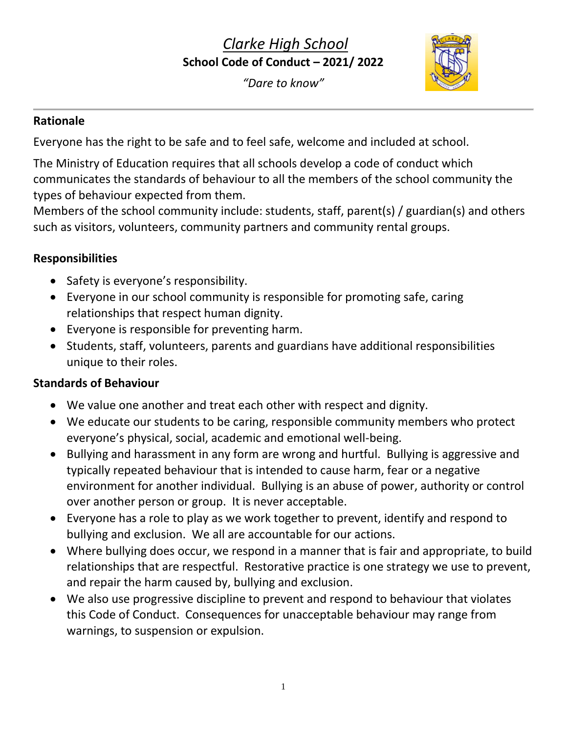# *Clarke High School* **School Code of Conduct – 2021/ 2022**

*"Dare to know"*



#### **Rationale**

Everyone has the right to be safe and to feel safe, welcome and included at school.

The Ministry of Education requires that all schools develop a code of conduct which communicates the standards of behaviour to all the members of the school community the types of behaviour expected from them.

Members of the school community include: students, staff, parent(s) / guardian(s) and others such as visitors, volunteers, community partners and community rental groups.

#### **Responsibilities**

- Safety is everyone's responsibility.
- Everyone in our school community is responsible for promoting safe, caring relationships that respect human dignity.
- Everyone is responsible for preventing harm.
- Students, staff, volunteers, parents and guardians have additional responsibilities unique to their roles.

#### **Standards of Behaviour**

- We value one another and treat each other with respect and dignity.
- We educate our students to be caring, responsible community members who protect everyone's physical, social, academic and emotional well-being.
- Bullying and harassment in any form are wrong and hurtful. Bullying is aggressive and typically repeated behaviour that is intended to cause harm, fear or a negative environment for another individual. Bullying is an abuse of power, authority or control over another person or group. It is never acceptable.
- Everyone has a role to play as we work together to prevent, identify and respond to bullying and exclusion. We all are accountable for our actions.
- Where bullying does occur, we respond in a manner that is fair and appropriate, to build relationships that are respectful. Restorative practice is one strategy we use to prevent, and repair the harm caused by, bullying and exclusion.
- We also use progressive discipline to prevent and respond to behaviour that violates this Code of Conduct. Consequences for unacceptable behaviour may range from warnings, to suspension or expulsion.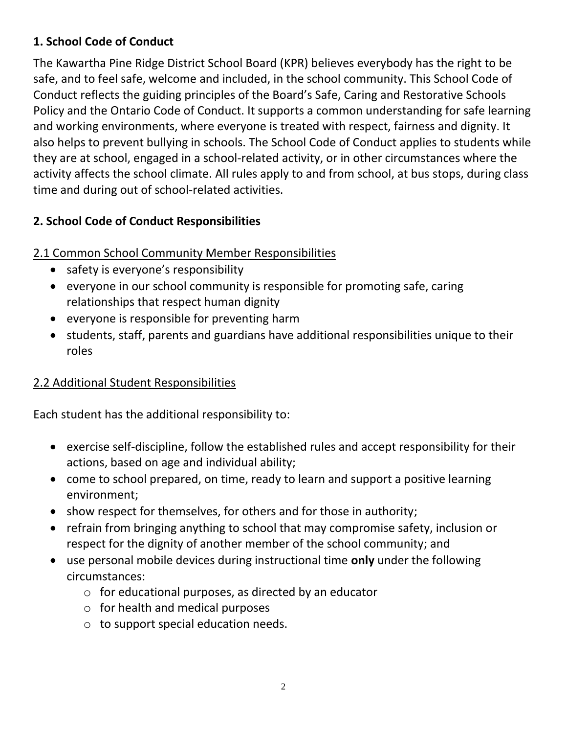#### **1. School Code of Conduct**

The Kawartha Pine Ridge District School Board (KPR) believes everybody has the right to be safe, and to feel safe, welcome and included, in the school community. This School Code of Conduct reflects the guiding principles of the Board's Safe, Caring and Restorative Schools Policy and the Ontario Code of Conduct. It supports a common understanding for safe learning and working environments, where everyone is treated with respect, fairness and dignity. It also helps to prevent bullying in schools. The School Code of Conduct applies to students while they are at school, engaged in a school-related activity, or in other circumstances where the activity affects the school climate. All rules apply to and from school, at bus stops, during class time and during out of school-related activities.

## **2. School Code of Conduct Responsibilities**

#### 2.1 Common School Community Member Responsibilities

- safety is everyone's responsibility
- everyone in our school community is responsible for promoting safe, caring relationships that respect human dignity
- everyone is responsible for preventing harm
- students, staff, parents and guardians have additional responsibilities unique to their roles

### 2.2 Additional Student Responsibilities

Each student has the additional responsibility to:

- exercise self-discipline, follow the established rules and accept responsibility for their actions, based on age and individual ability;
- come to school prepared, on time, ready to learn and support a positive learning environment;
- show respect for themselves, for others and for those in authority;
- refrain from bringing anything to school that may compromise safety, inclusion or respect for the dignity of another member of the school community; and
- use personal mobile devices during instructional time **only** under the following circumstances:
	- $\circ$  for educational purposes, as directed by an educator
	- $\circ$  for health and medical purposes
	- o to support special education needs.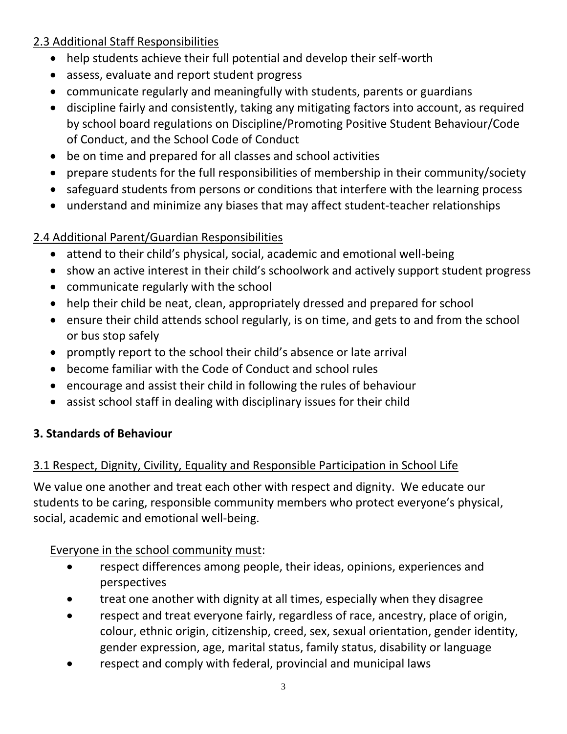## 2.3 Additional Staff Responsibilities

- help students achieve their full potential and develop their self-worth
- assess, evaluate and report student progress
- communicate regularly and meaningfully with students, parents or guardians
- discipline fairly and consistently, taking any mitigating factors into account, as required by school board regulations on Discipline/Promoting Positive Student Behaviour/Code of Conduct, and the School Code of Conduct
- be on time and prepared for all classes and school activities
- prepare students for the full responsibilities of membership in their community/society
- safeguard students from persons or conditions that interfere with the learning process
- understand and minimize any biases that may affect student-teacher relationships

## 2.4 Additional Parent/Guardian Responsibilities

- attend to their child's physical, social, academic and emotional well-being
- show an active interest in their child's schoolwork and actively support student progress
- communicate regularly with the school
- help their child be neat, clean, appropriately dressed and prepared for school
- ensure their child attends school regularly, is on time, and gets to and from the school or bus stop safely
- promptly report to the school their child's absence or late arrival
- become familiar with the Code of Conduct and school rules
- encourage and assist their child in following the rules of behaviour
- assist school staff in dealing with disciplinary issues for their child

### **3. Standards of Behaviour**

## 3.1 Respect, Dignity, Civility, Equality and Responsible Participation in School Life

We value one another and treat each other with respect and dignity. We educate our students to be caring, responsible community members who protect everyone's physical, social, academic and emotional well-being.

### Everyone in the school community must:

- respect differences among people, their ideas, opinions, experiences and perspectives
- treat one another with dignity at all times, especially when they disagree
- respect and treat everyone fairly, regardless of race, ancestry, place of origin, colour, ethnic origin, citizenship, creed, sex, sexual orientation, gender identity, gender expression, age, marital status, family status, disability or language
- respect and comply with federal, provincial and municipal laws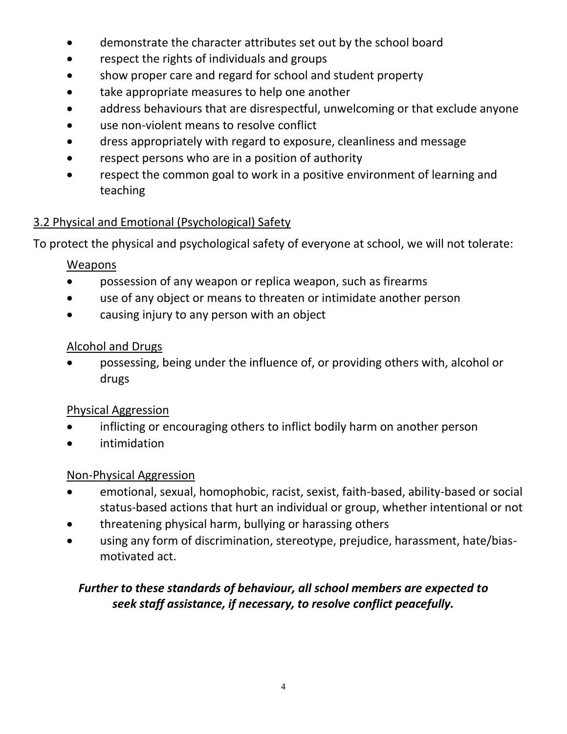- demonstrate the character attributes set out by the school board
- respect the rights of individuals and groups
- show proper care and regard for school and student property
- take appropriate measures to help one another
- address behaviours that are disrespectful, unwelcoming or that exclude anyone
- use non-violent means to resolve conflict
- dress appropriately with regard to exposure, cleanliness and message
- respect persons who are in a position of authority
- respect the common goal to work in a positive environment of learning and teaching

### 3.2 Physical and Emotional (Psychological) Safety

To protect the physical and psychological safety of everyone at school, we will not tolerate:

#### Weapons

- possession of any weapon or replica weapon, such as firearms
- use of any object or means to threaten or intimidate another person
- causing injury to any person with an object

#### Alcohol and Drugs

• possessing, being under the influence of, or providing others with, alcohol or drugs

#### Physical Aggression

- inflicting or encouraging others to inflict bodily harm on another person
- intimidation

#### Non-Physical Aggression

- emotional, sexual, homophobic, racist, sexist, faith-based, ability-based or social status-based actions that hurt an individual or group, whether intentional or not
- threatening physical harm, bullying or harassing others
- using any form of discrimination, stereotype, prejudice, harassment, hate/biasmotivated act.

### *Further to these standards of behaviour, all school members are expected to seek staff assistance, if necessary, to resolve conflict peacefully.*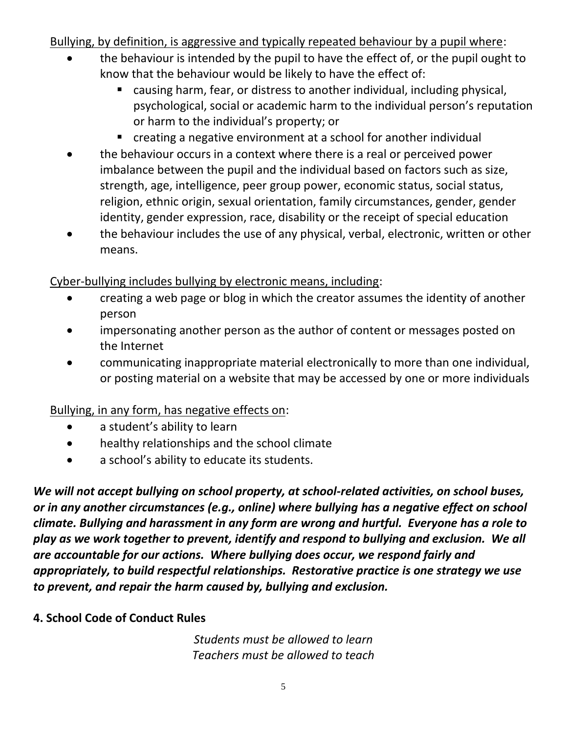Bullying, by definition, is aggressive and typically repeated behaviour by a pupil where:

- the behaviour is intended by the pupil to have the effect of, or the pupil ought to know that the behaviour would be likely to have the effect of:
	- causing harm, fear, or distress to another individual, including physical, psychological, social or academic harm to the individual person's reputation or harm to the individual's property; or
	- creating a negative environment at a school for another individual
- the behaviour occurs in a context where there is a real or perceived power imbalance between the pupil and the individual based on factors such as size, strength, age, intelligence, peer group power, economic status, social status, religion, ethnic origin, sexual orientation, family circumstances, gender, gender identity, gender expression, race, disability or the receipt of special education
- the behaviour includes the use of any physical, verbal, electronic, written or other means.

Cyber-bullying includes bullying by electronic means, including:

- creating a web page or blog in which the creator assumes the identity of another person
- impersonating another person as the author of content or messages posted on the Internet
- communicating inappropriate material electronically to more than one individual, or posting material on a website that may be accessed by one or more individuals

Bullying, in any form, has negative effects on:

- a student's ability to learn
- healthy relationships and the school climate
- a school's ability to educate its students.

*We will not accept bullying on school property, at school-related activities, on school buses, or in any another circumstances (e.g., online) where bullying has a negative effect on school climate. Bullying and harassment in any form are wrong and hurtful. Everyone has a role to play as we work together to prevent, identify and respond to bullying and exclusion. We all are accountable for our actions. Where bullying does occur, we respond fairly and appropriately, to build respectful relationships. Restorative practice is one strategy we use to prevent, and repair the harm caused by, bullying and exclusion.*

#### **4. School Code of Conduct Rules**

*Students must be allowed to learn Teachers must be allowed to teach*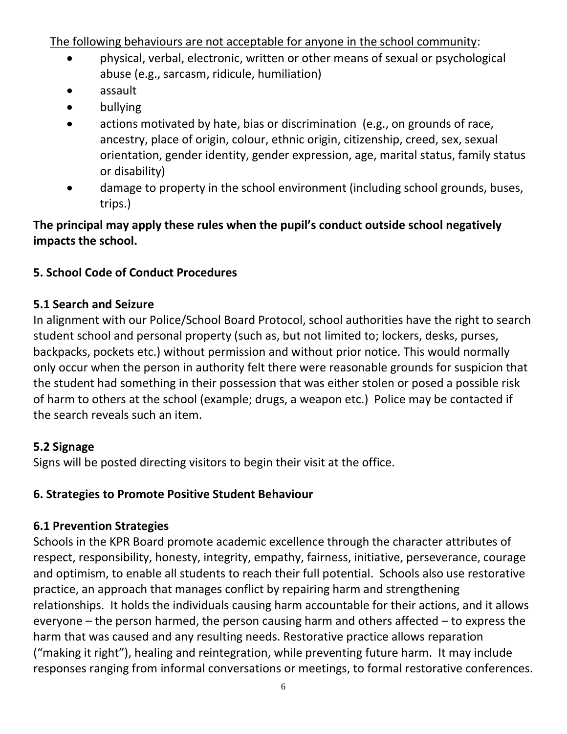The following behaviours are not acceptable for anyone in the school community:

- physical, verbal, electronic, written or other means of sexual or psychological abuse (e.g., sarcasm, ridicule, humiliation)
- assault
- bullying
- actions motivated by hate, bias or discrimination (e.g., on grounds of race, ancestry, place of origin, colour, ethnic origin, citizenship, creed, sex, sexual orientation, gender identity, gender expression, age, marital status, family status or disability)
- damage to property in the school environment (including school grounds, buses, trips.)

### **The principal may apply these rules when the pupil's conduct outside school negatively impacts the school.**

### **5. School Code of Conduct Procedures**

#### **5.1 Search and Seizure**

In alignment with our Police/School Board Protocol, school authorities have the right to search student school and personal property (such as, but not limited to; lockers, desks, purses, backpacks, pockets etc.) without permission and without prior notice. This would normally only occur when the person in authority felt there were reasonable grounds for suspicion that the student had something in their possession that was either stolen or posed a possible risk of harm to others at the school (example; drugs, a weapon etc.) Police may be contacted if the search reveals such an item.

### **5.2 Signage**

Signs will be posted directing visitors to begin their visit at the office.

### **6. Strategies to Promote Positive Student Behaviour**

### **6.1 Prevention Strategies**

Schools in the KPR Board promote academic excellence through the character attributes of respect, responsibility, honesty, integrity, empathy, fairness, initiative, perseverance, courage and optimism, to enable all students to reach their full potential. Schools also use restorative practice, an approach that manages conflict by repairing harm and strengthening relationships. It holds the individuals causing harm accountable for their actions, and it allows everyone – the person harmed, the person causing harm and others affected – to express the harm that was caused and any resulting needs. Restorative practice allows reparation ("making it right"), healing and reintegration, while preventing future harm. It may include responses ranging from informal conversations or meetings, to formal restorative conferences.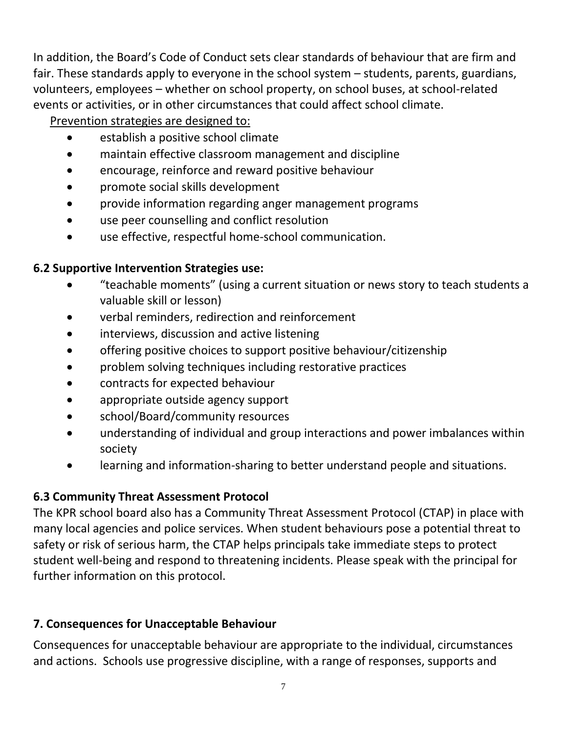In addition, the Board's Code of Conduct sets clear standards of behaviour that are firm and fair. These standards apply to everyone in the school system – students, parents, guardians, volunteers, employees – whether on school property, on school buses, at school-related events or activities, or in other circumstances that could affect school climate.

Prevention strategies are designed to:

- establish a positive school climate
- maintain effective classroom management and discipline
- encourage, reinforce and reward positive behaviour
- promote social skills development
- provide information regarding anger management programs
- use peer counselling and conflict resolution
- use effective, respectful home-school communication.

## **6.2 Supportive Intervention Strategies use:**

- "teachable moments" (using a current situation or news story to teach students a valuable skill or lesson)
- verbal reminders, redirection and reinforcement
- interviews, discussion and active listening
- offering positive choices to support positive behaviour/citizenship
- problem solving techniques including restorative practices
- contracts for expected behaviour
- appropriate outside agency support
- school/Board/community resources
- understanding of individual and group interactions and power imbalances within society
- learning and information-sharing to better understand people and situations.

## **6.3 Community Threat Assessment Protocol**

The KPR school board also has a Community Threat Assessment Protocol (CTAP) in place with many local agencies and police services. When student behaviours pose a potential threat to safety or risk of serious harm, the CTAP helps principals take immediate steps to protect student well-being and respond to threatening incidents. Please speak with the principal for further information on this protocol.

## **7. Consequences for Unacceptable Behaviour**

Consequences for unacceptable behaviour are appropriate to the individual, circumstances and actions. Schools use progressive discipline, with a range of responses, supports and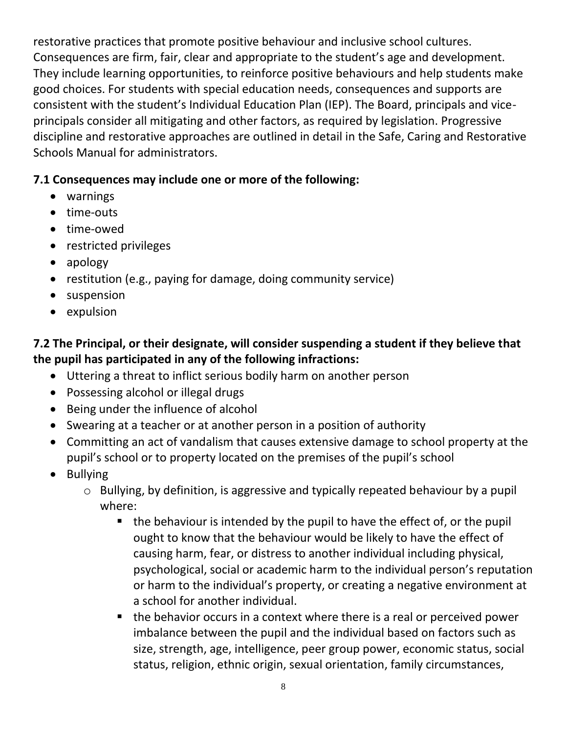restorative practices that promote positive behaviour and inclusive school cultures. Consequences are firm, fair, clear and appropriate to the student's age and development. They include learning opportunities, to reinforce positive behaviours and help students make good choices. For students with special education needs, consequences and supports are consistent with the student's Individual Education Plan (IEP). The Board, principals and viceprincipals consider all mitigating and other factors, as required by legislation. Progressive discipline and restorative approaches are outlined in detail in the Safe, Caring and Restorative Schools Manual for administrators.

#### **7.1 Consequences may include one or more of the following:**

- warnings
- time-outs
- time-owed
- restricted privileges
- apology
- restitution (e.g., paying for damage, doing community service)
- suspension
- expulsion

## **7.2 The Principal, or their designate, will consider suspending a student if they believe that the pupil has participated in any of the following infractions:**

- Uttering a threat to inflict serious bodily harm on another person
- Possessing alcohol or illegal drugs
- Being under the influence of alcohol
- Swearing at a teacher or at another person in a position of authority
- Committing an act of vandalism that causes extensive damage to school property at the pupil's school or to property located on the premises of the pupil's school
- Bullying
	- o Bullying, by definition, is aggressive and typically repeated behaviour by a pupil where:
		- $\blacksquare$  the behaviour is intended by the pupil to have the effect of, or the pupil ought to know that the behaviour would be likely to have the effect of causing harm, fear, or distress to another individual including physical, psychological, social or academic harm to the individual person's reputation or harm to the individual's property, or creating a negative environment at a school for another individual.
		- the behavior occurs in a context where there is a real or perceived power imbalance between the pupil and the individual based on factors such as size, strength, age, intelligence, peer group power, economic status, social status, religion, ethnic origin, sexual orientation, family circumstances,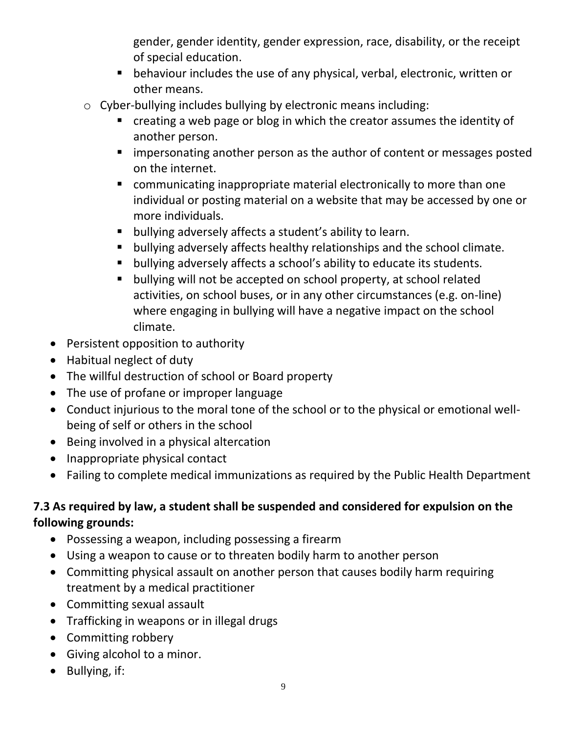gender, gender identity, gender expression, race, disability, or the receipt of special education.

- behaviour includes the use of any physical, verbal, electronic, written or other means.
- o Cyber-bullying includes bullying by electronic means including:
	- creating a web page or blog in which the creator assumes the identity of another person.
	- **E** impersonating another person as the author of content or messages posted on the internet.
	- communicating inappropriate material electronically to more than one individual or posting material on a website that may be accessed by one or more individuals.
	- bullying adversely affects a student's ability to learn.
	- bullying adversely affects healthy relationships and the school climate.
	- bullying adversely affects a school's ability to educate its students.
	- bullying will not be accepted on school property, at school related activities, on school buses, or in any other circumstances (e.g. on-line) where engaging in bullying will have a negative impact on the school climate.
- Persistent opposition to authority
- Habitual neglect of duty
- The willful destruction of school or Board property
- The use of profane or improper language
- Conduct injurious to the moral tone of the school or to the physical or emotional wellbeing of self or others in the school
- Being involved in a physical altercation
- Inappropriate physical contact
- Failing to complete medical immunizations as required by the Public Health Department

## **7.3 As required by law, a student shall be suspended and considered for expulsion on the following grounds:**

- Possessing a weapon, including possessing a firearm
- Using a weapon to cause or to threaten bodily harm to another person
- Committing physical assault on another person that causes bodily harm requiring treatment by a medical practitioner
- Committing sexual assault
- Trafficking in weapons or in illegal drugs
- Committing robbery
- Giving alcohol to a minor.
- Bullying, if: